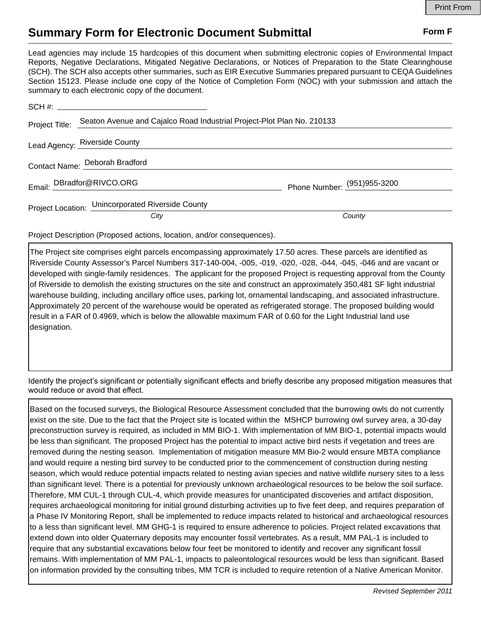## **Summary Form for Electronic Document Submittal Form F Form F**

Lead agencies may include 15 hardcopies of this document when submitting electronic copies of Environmental Impact Reports, Negative Declarations, Mitigated Negative Declarations, or Notices of Preparation to the State Clearinghouse (SCH). The SCH also accepts other summaries, such as EIR Executive Summaries prepared pursuant to CEQA Guidelines Section 15123. Please include one copy of the Notice of Completion Form (NOC) with your submission and attach the summary to each electronic copy of the document.

| Project Title: | Seaton Avenue and Cajalco Road Industrial Project-Plot Plan No. 210133 |                             |
|----------------|------------------------------------------------------------------------|-----------------------------|
|                | Lead Agency: Riverside County                                          |                             |
|                | Contact Name: Deborah Bradford                                         |                             |
|                | Email: DBradfor@RIVCO.ORG                                              | Phone Number: (951)955-3200 |
|                | Project Location: Unincorporated Riverside County                      |                             |
|                | City                                                                   | County                      |

Project Description (Proposed actions, location, and/or consequences).

The Project site comprises eight parcels encompassing approximately 17.50 acres. These parcels are identified as Riverside County Assessor's Parcel Numbers 317-140-004, -005, -019, -020, -028, -044, -045, -046 and are vacant or developed with single-family residences. The applicant for the proposed Project is requesting approval from the County of Riverside to demolish the existing structures on the site and construct an approximately 350,481 SF light industrial warehouse building, including ancillary office uses, parking lot, ornamental landscaping, and associated infrastructure. Approximately 20 percent of the warehouse would be operated as refrigerated storage. The proposed building would result in a FAR of 0.4969, which is below the allowable maximum FAR of 0.60 for the Light Industrial land use designation.

Identify the project's significant or potentially significant effects and briefly describe any proposed mitigation measures that would reduce or avoid that effect.

Based on the focused surveys, the Biological Resource Assessment concluded that the burrowing owls do not currently exist on the site. Due to the fact that the Project site is located within the MSHCP burrowing owl survey area, a 30-day preconstruction survey is required, as included in MM BIO-1. With implementation of MM BIO-1, potential impacts would be less than significant. The proposed Project has the potential to impact active bird nests if vegetation and trees are removed during the nesting season. Implementation of mitigation measure MM Bio-2 would ensure MBTA compliance and would require a nesting bird survey to be conducted prior to the commencement of construction during nesting season, which would reduce potential impacts related to nesting avian species and native wildlife nursery sites to a less than significant level. There is a potential for previously unknown archaeological resources to be below the soil surface. Therefore, MM CUL-1 through CUL-4, which provide measures for unanticipated discoveries and artifact disposition, requires archaeological monitoring for initial ground disturbing activities up to five feet deep, and requires preparation of a Phase IV Monitoring Report, shall be implemented to reduce impacts related to historical and archaeological resources to a less than significant level. MM GHG-1 is required to ensure adherence to policies. Project related excavations that extend down into older Quaternary deposits may encounter fossil vertebrates. As a result, MM PAL-1 is included to require that any substantial excavations below four feet be monitored to identify and recover any significant fossil remains. With implementation of MM PAL-1, impacts to paleontological resources would be less than significant. Based on information provided by the consulting tribes, MM TCR is included to require retention of a Native American Monitor.